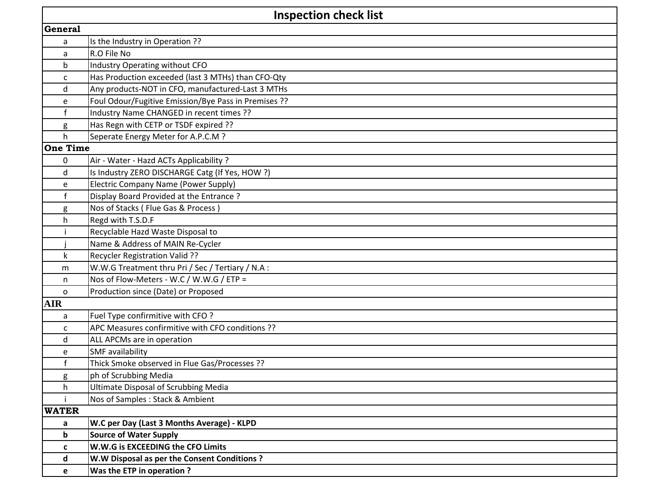| <b>Inspection check list</b> |                                                      |  |  |  |
|------------------------------|------------------------------------------------------|--|--|--|
| <b>General</b>               |                                                      |  |  |  |
| a                            | Is the Industry in Operation ??                      |  |  |  |
| a                            | R.O File No                                          |  |  |  |
| b                            | Industry Operating without CFO                       |  |  |  |
| c                            | Has Production exceeded (last 3 MTHs) than CFO-Qty   |  |  |  |
| d                            | Any products-NOT in CFO, manufactured-Last 3 MTHs    |  |  |  |
| e                            | Foul Odour/Fugitive Emission/Bye Pass in Premises ?? |  |  |  |
| $\mathbf f$                  | Industry Name CHANGED in recent times ??             |  |  |  |
| g                            | Has Regn with CETP or TSDF expired ??                |  |  |  |
| h.                           | Seperate Energy Meter for A.P.C.M ?                  |  |  |  |
| <b>One Time</b>              |                                                      |  |  |  |
| 0                            | Air - Water - Hazd ACTs Applicability ?              |  |  |  |
| d                            | Is Industry ZERO DISCHARGE Catg (If Yes, HOW ?)      |  |  |  |
| e                            | Electric Company Name (Power Supply)                 |  |  |  |
| $\mathsf{f}$                 | Display Board Provided at the Entrance?              |  |  |  |
| g                            | Nos of Stacks (Flue Gas & Process)                   |  |  |  |
| h                            | Regd with T.S.D.F                                    |  |  |  |
|                              | Recyclable Hazd Waste Disposal to                    |  |  |  |
|                              | Name & Address of MAIN Re-Cycler                     |  |  |  |
| k                            | Recycler Registration Valid ??                       |  |  |  |
| m                            | W.W.G Treatment thru Pri / Sec / Tertiary / N.A :    |  |  |  |
| n                            | Nos of Flow-Meters - W.C / W.W.G / ETP =             |  |  |  |
| 0                            | Production since (Date) or Proposed                  |  |  |  |
| <b>AIR</b>                   |                                                      |  |  |  |
| a                            | Fuel Type confirmitive with CFO?                     |  |  |  |
| C                            | APC Measures confirmitive with CFO conditions ??     |  |  |  |
| d                            | ALL APCMs are in operation                           |  |  |  |
| e                            | SMF availability                                     |  |  |  |
| $\mathbf f$                  | Thick Smoke observed in Flue Gas/Processes ??        |  |  |  |
| <u>g</u>                     | ph of Scrubbing Media                                |  |  |  |
| h                            | <b>Ultimate Disposal of Scrubbing Media</b>          |  |  |  |
|                              | Nos of Samples : Stack & Ambient                     |  |  |  |
| <b>WATER</b>                 |                                                      |  |  |  |
| a                            | W.C per Day (Last 3 Months Average) - KLPD           |  |  |  |
| b                            | <b>Source of Water Supply</b>                        |  |  |  |
| C                            | W.W.G is EXCEEDING the CFO Limits                    |  |  |  |
| d                            | W.W Disposal as per the Consent Conditions ?         |  |  |  |
| e                            | Was the ETP in operation?                            |  |  |  |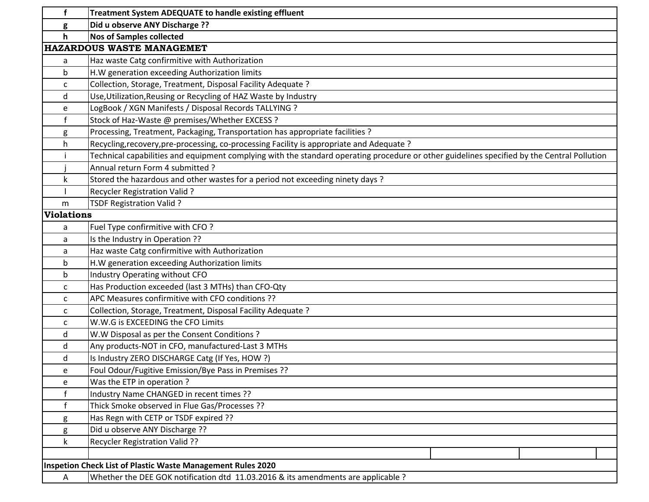| f                                                           | <b>Treatment System ADEQUATE to handle existing effluent</b>                                                                                |  |  |  |
|-------------------------------------------------------------|---------------------------------------------------------------------------------------------------------------------------------------------|--|--|--|
| g                                                           | Did u observe ANY Discharge ??                                                                                                              |  |  |  |
| $\mathsf{h}$                                                | <b>Nos of Samples collected</b>                                                                                                             |  |  |  |
| HAZARDOUS WASTE MANAGEMET                                   |                                                                                                                                             |  |  |  |
| a                                                           | Haz waste Catg confirmitive with Authorization                                                                                              |  |  |  |
| b                                                           | H.W generation exceeding Authorization limits                                                                                               |  |  |  |
| C                                                           | Collection, Storage, Treatment, Disposal Facility Adequate ?                                                                                |  |  |  |
| d                                                           | Use, Utilization, Reusing or Recycling of HAZ Waste by Industry                                                                             |  |  |  |
| e                                                           | LogBook / XGN Manifests / Disposal Records TALLYING ?                                                                                       |  |  |  |
| $\mathsf{f}$                                                | Stock of Haz-Waste @ premises/Whether EXCESS ?                                                                                              |  |  |  |
| g                                                           | Processing, Treatment, Packaging, Transportation has appropriate facilities ?                                                               |  |  |  |
| h                                                           | Recycling, recovery, pre-processing, co-processing Facility is appropriate and Adequate?                                                    |  |  |  |
|                                                             | Technical capabilities and equipment complying with the standard operating procedure or other guidelines specified by the Central Pollution |  |  |  |
|                                                             | Annual return Form 4 submitted ?                                                                                                            |  |  |  |
| k                                                           | Stored the hazardous and other wastes for a period not exceeding ninety days ?                                                              |  |  |  |
|                                                             | <b>Recycler Registration Valid?</b>                                                                                                         |  |  |  |
| m                                                           | TSDF Registration Valid ?                                                                                                                   |  |  |  |
| <b>Violations</b>                                           |                                                                                                                                             |  |  |  |
| a                                                           | Fuel Type confirmitive with CFO?                                                                                                            |  |  |  |
| a                                                           | Is the Industry in Operation ??                                                                                                             |  |  |  |
| a                                                           | Haz waste Catg confirmitive with Authorization                                                                                              |  |  |  |
| $\mathsf b$                                                 | H.W generation exceeding Authorization limits                                                                                               |  |  |  |
| $\mathbf b$                                                 | Industry Operating without CFO                                                                                                              |  |  |  |
| C                                                           | Has Production exceeded (last 3 MTHs) than CFO-Qty                                                                                          |  |  |  |
| C                                                           | APC Measures confirmitive with CFO conditions ??                                                                                            |  |  |  |
| C                                                           | Collection, Storage, Treatment, Disposal Facility Adequate ?                                                                                |  |  |  |
| C                                                           | W.W.G is EXCEEDING the CFO Limits                                                                                                           |  |  |  |
| d                                                           | W.W Disposal as per the Consent Conditions ?                                                                                                |  |  |  |
| d                                                           | Any products-NOT in CFO, manufactured-Last 3 MTHs                                                                                           |  |  |  |
| d                                                           | Is Industry ZERO DISCHARGE Catg (If Yes, HOW ?)                                                                                             |  |  |  |
| e                                                           | Foul Odour/Fugitive Emission/Bye Pass in Premises ??                                                                                        |  |  |  |
| e                                                           | Was the ETP in operation?                                                                                                                   |  |  |  |
| f                                                           | Industry Name CHANGED in recent times ??                                                                                                    |  |  |  |
|                                                             | Thick Smoke observed in Flue Gas/Processes ??                                                                                               |  |  |  |
| g                                                           | Has Regn with CETP or TSDF expired ??                                                                                                       |  |  |  |
| g                                                           | Did u observe ANY Discharge ??                                                                                                              |  |  |  |
| k                                                           | Recycler Registration Valid ??                                                                                                              |  |  |  |
|                                                             |                                                                                                                                             |  |  |  |
| Inspetion Check List of Plastic Waste Management Rules 2020 |                                                                                                                                             |  |  |  |
| A                                                           | Whether the DEE GOK notification dtd 11.03.2016 & its amendments are applicable ?                                                           |  |  |  |